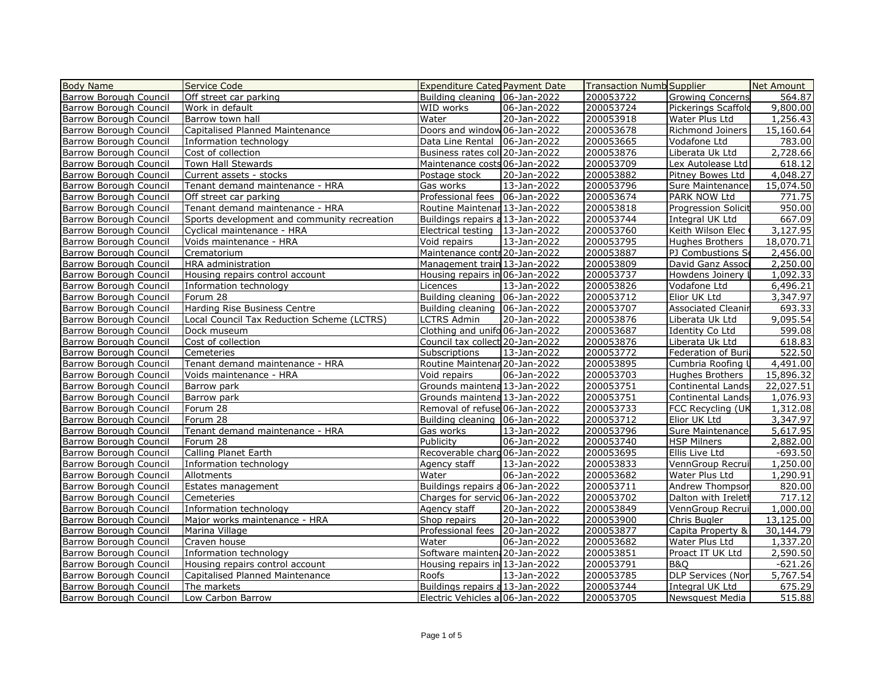| <b>Body Name</b>              | Service Code                                | <b>Expenditure Categ Payment Date</b> |             | <b>Transaction Numb Supplier</b> |                           | Net Amount |
|-------------------------------|---------------------------------------------|---------------------------------------|-------------|----------------------------------|---------------------------|------------|
| Barrow Borough Council        | Off street car parking                      | Building cleaning   06-Jan-2022       |             | 200053722                        | <b>Growing Concerns</b>   | 564.87     |
| <b>Barrow Borough Council</b> | Work in default                             | WID works                             | 06-Jan-2022 | 200053724                        | Pickerings Scaffold       | 9,800.00   |
| Barrow Borough Council        | Barrow town hall                            | Water                                 | 20-Jan-2022 | 200053918                        | Water Plus Ltd            | 1,256.43   |
| <b>Barrow Borough Council</b> | Capitalised Planned Maintenance             | Doors and window 06-Jan-2022          |             | 200053678                        | Richmond Joiners          | 15,160.64  |
| Barrow Borough Council        | Information technology                      | Data Line Rental                      | 06-Jan-2022 | 200053665                        | Vodafone Ltd              | 783.00     |
| <b>Barrow Borough Council</b> | Cost of collection                          | Business rates coll 20-Jan-2022       |             | 200053876                        | Liberata Uk Ltd           | 2,728.66   |
| Barrow Borough Council        | Town Hall Stewards                          | Maintenance costs 06-Jan-2022         |             | 200053709                        | Lex Autolease Ltd         | 618.12     |
| Barrow Borough Council        | Current assets - stocks                     | Postage stock                         | 20-Jan-2022 | 200053882                        | Pitney Bowes Ltd          | 4,048.27   |
| <b>Barrow Borough Council</b> | Tenant demand maintenance - HRA             | Gas works                             | 13-Jan-2022 | 200053796                        | <b>Sure Maintenance</b>   | 15,074.50  |
| Barrow Borough Council        | Off street car parking                      | Professional fees   06-Jan-2022       |             | 200053674                        | PARK NOW Ltd              | 771.75     |
| <b>Barrow Borough Council</b> | Tenant demand maintenance - HRA             | Routine Maintenar 13-Jan-2022         |             | 200053818                        | Progression Solicit       | 950.00     |
| Barrow Borough Council        | Sports development and community recreation | Buildings repairs a 13-Jan-2022       |             | 200053744                        | Integral UK Ltd           | 667.09     |
| Barrow Borough Council        | Cyclical maintenance - HRA                  | Electrical testing                    | 13-Jan-2022 | 200053760                        | Keith Wilson Elec         | 3,127.95   |
| Barrow Borough Council        | Voids maintenance - HRA                     | Void repairs                          | 13-Jan-2022 | 200053795                        | Hughes Brothers           | 18,070.71  |
| <b>Barrow Borough Council</b> | Crematorium                                 | Maintenance contr 20-Jan-2022         |             | 200053887                        | PJ Combustions So         | 2,456.00   |
| <b>Barrow Borough Council</b> | HRA administration                          | Management train 13-Jan-2022          |             | 200053809                        | David Ganz Associ         | 2,250.00   |
| <b>Barrow Borough Council</b> | Housing repairs control account             | Housing repairs in 06-Jan-2022        |             | 200053737                        | Howdens Joinery           | 1,092.33   |
| Barrow Borough Council        | Information technology                      | Licences                              | 13-Jan-2022 | 200053826                        | Vodafone Ltd              | 6,496.21   |
| Barrow Borough Council        | Forum 28                                    | Building cleaning   06-Jan-2022       |             | 200053712                        | Elior UK Ltd              | 3,347.97   |
| Barrow Borough Council        | Harding Rise Business Centre                | Building cleaning   06-Jan-2022       |             | 200053707                        | <b>Associated Cleanir</b> | 693.33     |
| <b>Barrow Borough Council</b> | Local Council Tax Reduction Scheme (LCTRS)  | <b>LCTRS Admin</b>                    | 20-Jan-2022 | 200053876                        | Liberata Uk Ltd           | 9,095.54   |
| Barrow Borough Council        | Dock museum                                 | Clothing and unifo 06-Jan-2022        |             | 200053687                        | Identity Co Ltd           | 599.08     |
| <b>Barrow Borough Council</b> | Cost of collection                          | Council tax collect 20-Jan-2022       |             | 200053876                        | Liberata Uk Ltd           | 618.83     |
| Barrow Borough Council        | Cemeteries                                  | Subscriptions                         | 13-Jan-2022 | 200053772                        | Federation of Buria       | 522.50     |
| <b>Barrow Borough Council</b> | Tenant demand maintenance - HRA             | Routine Maintenar 20-Jan-2022         |             | 200053895                        | Cumbria Roofing I         | 4,491.00   |
| <b>Barrow Borough Council</b> | Voids maintenance - HRA                     | Void repairs                          | 06-Jan-2022 | 200053703                        | Hughes Brothers           | 15,896.32  |
| Barrow Borough Council        | Barrow park                                 | Grounds maintena 13-Jan-2022          |             | 200053751                        | Continental Lands         | 22,027.51  |
| Barrow Borough Council        | Barrow park                                 | Grounds maintena 13-Jan-2022          |             | 200053751                        | Continental Lands         | 1,076.93   |
| Barrow Borough Council        | Forum 28                                    | Removal of refuse 06-Jan-2022         |             | 200053733                        | FCC Recycling (UK         | 1,312.08   |
| Barrow Borough Council        | Forum 28                                    | Building cleaning 06-Jan-2022         |             | 200053712                        | Elior UK Ltd              | 3,347.97   |
| Barrow Borough Council        | Tenant demand maintenance - HRA             | Gas works                             | 13-Jan-2022 | 200053796                        | Sure Maintenance          | 5,617.95   |
| Barrow Borough Council        | Forum 28                                    | Publicity                             | 06-Jan-2022 | 200053740                        | <b>HSP Milners</b>        | 2,882.00   |
| Barrow Borough Council        | Calling Planet Earth                        | Recoverable charg 06-Jan-2022         |             | 200053695                        | Ellis Live Ltd            | $-693.50$  |
| Barrow Borough Council        | Information technology                      | Agency staff                          | 13-Jan-2022 | 200053833                        | VennGroup Recrui          | 1,250.00   |
| Barrow Borough Council        | Allotments                                  | Water                                 | 06-Jan-2022 | 200053682                        | Water Plus Ltd            | 1,290.91   |
| Barrow Borough Council        | Estates management                          | Buildings repairs a 06-Jan-2022       |             | 200053711                        | Andrew Thompsor           | 820.00     |
| Barrow Borough Council        | Cemeteries                                  | Charges for servic 06-Jan-2022        |             | 200053702                        | Dalton with Ireleth       | 717.12     |
| Barrow Borough Council        | Information technology                      |                                       | 20-Jan-2022 | 200053849                        |                           | 1,000.00   |
| Barrow Borough Council        |                                             | Agency staff                          |             |                                  | VennGroup Recrui          | 13,125.00  |
|                               | Major works maintenance - HRA               | Shop repairs<br>Professional fees     | 20-Jan-2022 | 200053900                        | Chris Bugler              |            |
| <b>Barrow Borough Council</b> | Marina Village                              |                                       | 20-Jan-2022 | 200053877                        | Capita Property &         | 30,144.79  |
| Barrow Borough Council        | Craven house                                | Water                                 | 06-Jan-2022 | 200053682                        | Water Plus Ltd            | 1,337.20   |
| Barrow Borough Council        | Information technology                      | Software mainten: 20-Jan-2022         |             | 200053851                        | Proact IT UK Ltd          | 2,590.50   |
| Barrow Borough Council        | Housing repairs control account             | Housing repairs in 13-Jan-2022        |             | 200053791                        | <b>B&amp;O</b>            | $-621.26$  |
| <b>Barrow Borough Council</b> | Capitalised Planned Maintenance             | Roofs                                 | 13-Jan-2022 | 200053785                        | <b>DLP Services (Nor</b>  | 5,767.54   |
| <b>Barrow Borough Council</b> | The markets                                 | Buildings repairs a 13-Jan-2022       |             | 200053744                        | Integral UK Ltd           | 675.29     |
| <b>Barrow Borough Council</b> | Low Carbon Barrow                           | Electric Vehicles al 06-Jan-2022      |             | 200053705                        | Newsquest Media           | 515.88     |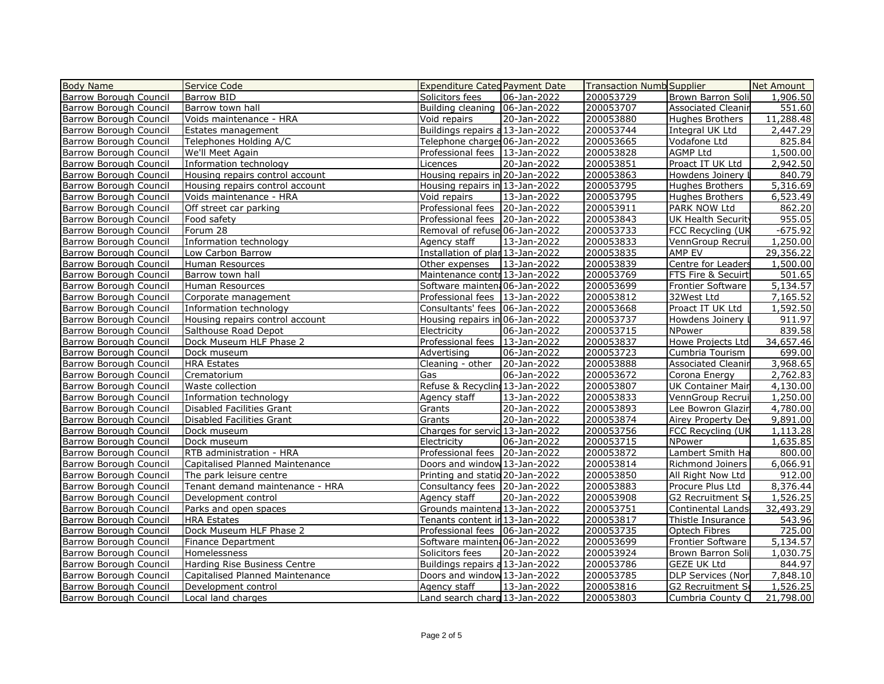| <b>Body Name</b>              | Service Code                    | <b>Expenditure Categ Payment Date</b> |             | <b>Transaction Numb Supplier</b> |                               | Net Amount |
|-------------------------------|---------------------------------|---------------------------------------|-------------|----------------------------------|-------------------------------|------------|
| Barrow Borough Council        | Barrow BID                      | Solicitors fees                       | 06-Jan-2022 | 200053729                        | Brown Barron Soli             | 1,906.50   |
| <b>Barrow Borough Council</b> | Barrow town hall                | Building cleaning   06-Jan-2022       |             | 200053707                        | <b>Associated Cleanir</b>     | 551.60     |
| Barrow Borough Council        | Voids maintenance - HRA         | Void repairs                          | 20-Jan-2022 | 200053880                        | Hughes Brothers               | 11,288.48  |
| <b>Barrow Borough Council</b> | Estates management              | Buildings repairs a 13-Jan-2022       |             | 200053744                        | Integral UK Ltd               | 2,447.29   |
| Barrow Borough Council        | Telephones Holding A/C          | Telephone charges 06-Jan-2022         |             | 200053665                        | Vodafone Ltd                  | 825.84     |
| Barrow Borough Council        | We'll Meet Again                | Professional fees   13-Jan-2022       |             | 200053828                        | <b>AGMP Ltd</b>               | 1,500.00   |
| <b>Barrow Borough Council</b> | Information technology          | Licences                              | 20-Jan-2022 | 200053851                        | Proact IT UK Ltd              | 2,942.50   |
| Barrow Borough Council        | Housing repairs control account | Housing repairs in 20-Jan-2022        |             | 200053863                        | Howdens Joinery I             | 840.79     |
| <b>Barrow Borough Council</b> | Housing repairs control account | Housing repairs in 13-Jan-2022        |             | 200053795                        | Hughes Brothers               | 5,316.69   |
| Barrow Borough Council        | Voids maintenance - HRA         | Void repairs                          | 13-Jan-2022 | 200053795                        | Hughes Brothers               | 6,523.49   |
| <b>Barrow Borough Council</b> | Off street car parking          | Professional fees   20-Jan-2022       |             | 200053911                        | PARK NOW Ltd                  | 862.20     |
| Barrow Borough Council        | Food safety                     | Professional fees   20-Jan-2022       |             | 200053843                        | UK Health Security            | 955.05     |
| Barrow Borough Council        | Forum 28                        | Removal of refuse 06-Jan-2022         |             | 200053733                        | FCC Recycling (UK             | $-675.92$  |
| Barrow Borough Council        | Information technology          | Agency staff                          | 13-Jan-2022 | 200053833                        | VennGroup Recrui              | 1,250.00   |
| <b>Barrow Borough Council</b> | Low Carbon Barrow               | Installation of plar 13-Jan-2022      |             | 200053835                        | AMP EV                        | 29,356.22  |
| Barrow Borough Council        | Human Resources                 | Other expenses   13-Jan-2022          |             | 200053839                        | Centre for Leaders            | 1,500.00   |
| Barrow Borough Council        | Barrow town hall                | Maintenance contri 13-Jan-2022        |             | 200053769                        | <b>FTS Fire &amp; Secuirt</b> | 501.65     |
| Barrow Borough Council        | Human Resources                 | Software mainten: 06-Jan-2022         |             | 200053699                        | <b>Frontier Software</b>      | 5,134.57   |
| Barrow Borough Council        | Corporate management            | Professional fees   13-Jan-2022       |             | 200053812                        | 32West Ltd                    | 7,165.52   |
| <b>Barrow Borough Council</b> | Information technology          | Consultants' fees   06-Jan-2022       |             | 200053668                        | Proact IT UK Ltd              | 1,592.50   |
| Barrow Borough Council        | Housing repairs control account | Housing repairs in 06-Jan-2022        |             | 200053737                        | Howdens Joinery               | 911.97     |
| Barrow Borough Council        | Salthouse Road Depot            | Electricity                           | 06-Jan-2022 | 200053715                        | NPower                        | 839.58     |
| <b>Barrow Borough Council</b> | Dock Museum HLF Phase 2         | Professional fees   13-Jan-2022       |             | 200053837                        | Howe Projects Ltd             | 34,657.46  |
| Barrow Borough Council        | Dock museum                     | Advertising                           | 06-Jan-2022 | 200053723                        | Cumbria Tourism               | 699.00     |
| Barrow Borough Council        | <b>HRA Estates</b>              | Cleaning - other                      | 20-Jan-2022 | 200053888                        | <b>Associated Cleanir</b>     | 3,968.65   |
| Barrow Borough Council        | Crematorium                     | Gas                                   | 06-Jan-2022 | 200053672                        | Corona Energy                 | 2,762.83   |
| <b>Barrow Borough Council</b> | Waste collection                | Refuse & Recycling 13-Jan-2022        |             | 200053807                        | UK Container Mair             | 4,130.00   |
| Barrow Borough Council        | Information technology          | Agency staff                          | 13-Jan-2022 | 200053833                        | VennGroup Recrui              | 1,250.00   |
| Barrow Borough Council        | Disabled Facilities Grant       | Grants                                | 20-Jan-2022 | 200053893                        | Lee Bowron Glazin             | 4,780.00   |
| Barrow Borough Council        | Disabled Facilities Grant       | Grants                                | 20-Jan-2022 | 200053874                        | Airey Property Dev            | 9,891.00   |
| Barrow Borough Council        | Dock museum                     | Charges for servic 13-Jan-2022        |             | 200053756                        | FCC Recycling (UK             | 1,113.28   |
| <b>Barrow Borough Council</b> | Dock museum                     | Electricity                           | 06-Jan-2022 | 200053715                        | NPower                        | 1,635.85   |
| <b>Barrow Borough Council</b> | RTB administration - HRA        | Professional fees   20-Jan-2022       |             | 200053872                        | Lambert Smith Ha              | 800.00     |
| Barrow Borough Council        | Capitalised Planned Maintenance | Doors and window 13-Jan-2022          |             | 200053814                        | Richmond Joiners              | 6,066.91   |
| Barrow Borough Council        | The park leisure centre         | Printing and statio 20-Jan-2022       |             | 200053850                        | All Right Now Ltd             | 912.00     |
| Barrow Borough Council        | Tenant demand maintenance - HRA | Consultancy fees   20-Jan-2022        |             | 200053883                        | Procure Plus Ltd              | 8,376.44   |
| <b>Barrow Borough Council</b> | Development control             | Agency staff                          | 20-Jan-2022 | 200053908                        | <b>G2</b> Recruitment So      | 1,526.25   |
| Barrow Borough Council        | Parks and open spaces           | Grounds maintena 13-Jan-2022          |             | 200053751                        | Continental Lands             | 32,493.29  |
| Barrow Borough Council        | <b>HRA Estates</b>              | Tenants content in 13-Jan-2022        |             | 200053817                        | Thistle Insurance             | 543.96     |
| Barrow Borough Council        | Dock Museum HLF Phase 2         | Professional fees   06-Jan-2022       |             | 200053735                        | Optech Fibres                 | 725.00     |
| Barrow Borough Council        | <b>Finance Department</b>       | Software mainten: 06-Jan-2022         |             | 200053699                        | Frontier Software             | 5,134.57   |
| <b>Barrow Borough Council</b> | Homelessness                    | Solicitors fees                       | 20-Jan-2022 | 200053924                        | Brown Barron Soli             | 1,030.75   |
| <b>Barrow Borough Council</b> | Harding Rise Business Centre    | Buildings repairs a 13-Jan-2022       |             | 200053786                        | <b>GEZE UK Ltd</b>            | 844.97     |
| Barrow Borough Council        | Capitalised Planned Maintenance | Doors and window 13-Jan-2022          |             | 200053785                        | DLP Services (Nor             | 7,848.10   |
| <b>Barrow Borough Council</b> | Development control             | Agency staff                          | 13-Jan-2022 | 200053816                        | G2 Recruitment So             | 1,526.25   |
| <b>Barrow Borough Council</b> | Local land charges              | Land search charg 13-Jan-2022         |             | 200053803                        | Cumbria County C              | 21,798.00  |
|                               |                                 |                                       |             |                                  |                               |            |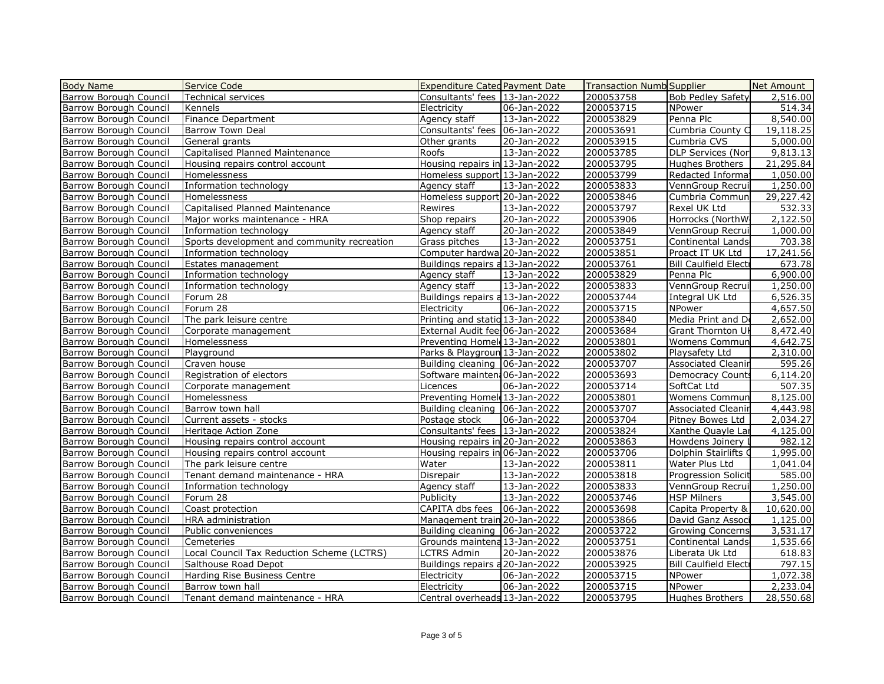| <b>Body Name</b>              | Service Code                                | <b>Expenditure Categ Payment Date</b>      |             | <b>Transaction Numb Supplier</b> |                              | Net Amount           |
|-------------------------------|---------------------------------------------|--------------------------------------------|-------------|----------------------------------|------------------------------|----------------------|
| Barrow Borough Council        | Technical services                          | Consultants' fees   13-Jan-2022            |             | 200053758                        | <b>Bob Pedley Safety</b>     | 2,516.00             |
| Barrow Borough Council        | Kennels                                     | Electricity                                | 06-Jan-2022 | 200053715                        | NPower                       | 514.34               |
| Barrow Borough Council        | <b>Finance Department</b>                   | Agency staff                               | 13-Jan-2022 | 200053829                        | Penna Plc                    | 8,540.00             |
| <b>Barrow Borough Council</b> | <b>Barrow Town Deal</b>                     | Consultants' fees   06-Jan-2022            |             | 200053691                        | Cumbria County C             | 19,118.25            |
| Barrow Borough Council        | General grants                              | Other grants                               | 20-Jan-2022 | 200053915                        | Cumbria CVS                  | 5,000.00             |
| <b>Barrow Borough Council</b> | Capitalised Planned Maintenance             | Roofs                                      | 13-Jan-2022 | 200053785                        | DLP Services (Nor            | 9,813.13             |
| Barrow Borough Council        | Housing repairs control account             | Housing repairs in 13-Jan-2022             |             | 200053795                        | Hughes Brothers              | 21,295.84            |
| Barrow Borough Council        | Homelessness                                | Homeless support 13-Jan-2022               |             | 200053799                        | Redacted Informal            | 1,050.00             |
| Barrow Borough Council        | Information technology                      | Agency staff                               | 13-Jan-2022 | 200053833                        | VennGroup Recrui             | 1,250.00             |
| Barrow Borough Council        | Homelessness                                | Homeless support 20-Jan-2022               |             | 200053846                        | Cumbria Commun               | 29,227.42            |
| Barrow Borough Council        | Capitalised Planned Maintenance             | Rewires                                    | 13-Jan-2022 | 200053797                        | Rexel UK Ltd                 | 532.33               |
| Barrow Borough Council        | Major works maintenance - HRA               | Shop repairs                               | 20-Jan-2022 | 200053906                        | Horrocks (NorthW             | 2,122.50             |
| <b>Barrow Borough Council</b> | Information technology                      | Agency staff                               | 20-Jan-2022 | 200053849                        | VennGroup Recrui             | 1,000.00             |
| <b>Barrow Borough Council</b> | Sports development and community recreation | Grass pitches                              | 13-Jan-2022 | 200053751                        | Continental Lands            | 703.38               |
| Barrow Borough Council        | Information technology                      | Computer hardwa 20-Jan-2022                |             | 200053851                        | Proact IT UK Ltd             | 17,241.56            |
| <b>Barrow Borough Council</b> | Estates management                          | Buildings repairs a 13-Jan-2022            |             | 200053761                        | <b>Bill Caulfield Electi</b> | 673.78               |
| Barrow Borough Council        | Information technology                      | Agency staff                               | 13-Jan-2022 | 200053829                        | Penna Plc                    | 6,900.00             |
| Barrow Borough Council        | Information technology                      | Agency staff                               | 13-Jan-2022 | 200053833                        | VennGroup Recrui             | 1,250.00             |
| Barrow Borough Council        | Forum 28                                    | Buildings repairs a 13-Jan-2022            |             | 200053744                        | Integral UK Ltd              | 6,526.35             |
| Barrow Borough Council        | Forum 28                                    | Electricity                                | 06-Jan-2022 | 200053715                        | NPower                       | 4,657.50             |
| <b>Barrow Borough Council</b> | The park leisure centre                     | Printing and statio 13-Jan-2022            |             | 200053840                        | Media Print and Do           | 2,652.00             |
| Barrow Borough Council        | Corporate management                        | External Audit fee: 06-Jan-2022            |             | 200053684                        | Grant Thornton UK            | 8,472.40             |
| Barrow Borough Council        | Homelessness                                | Preventing Homel 13-Jan-2022               |             | 200053801                        | Womens Commun                | 4,642.75             |
| Barrow Borough Council        | Playground                                  | Parks & Playgroun 13-Jan-2022              |             | 200053802                        | Playsafety Ltd               | 2,310.00             |
| Barrow Borough Council        | Craven house                                | Building cleaning   06-Jan-2022            |             | 200053707                        | <b>Associated Cleanir</b>    | 595.26               |
| Barrow Borough Council        | Registration of electors                    | Software mainten: 06-Jan-2022              |             | 200053693                        | Democracy Counts             | 6,114.20             |
| Barrow Borough Council        | Corporate management                        | Licences                                   | 06-Jan-2022 | 200053714                        | SoftCat Ltd                  | 507.35               |
| Barrow Borough Council        | Homelessness                                | Preventing Homel 13-Jan-2022               |             | 200053801                        | Womens Commun                | 8,125.00             |
| Barrow Borough Council        | Barrow town hall                            | Building cleaning   06-Jan-2022            |             | 200053707                        | <b>Associated Cleanir</b>    | 4,443.98             |
| Barrow Borough Council        | Current assets - stocks                     | Postage stock                              | 06-Jan-2022 | 200053704                        | Pitney Bowes Ltd             | 2,034.27             |
| Barrow Borough Council        | Heritage Action Zone                        | Consultants' fees   13-Jan-2022            |             | 200053824                        | Xanthe Quayle Lar            | 4,125.00             |
| Barrow Borough Council        | Housing repairs control account             | Housing repairs in 20-Jan-2022             |             | 200053863                        | Howdens Joinery I            | 982.12               |
| Barrow Borough Council        | Housing repairs control account             | Housing repairs in 06-Jan-2022             |             | 200053706                        | Dolphin Stairlifts O         | 1,995.00             |
| Barrow Borough Council        | The park leisure centre                     | Water                                      | 13-Jan-2022 | 200053811                        | Water Plus Ltd               | 1,041.04             |
| <b>Barrow Borough Council</b> | Tenant demand maintenance - HRA             | Disrepair                                  | 13-Jan-2022 | 200053818                        |                              | 585.00               |
| <b>Barrow Borough Council</b> |                                             |                                            |             |                                  | <b>Progression Solicit</b>   |                      |
|                               | Information technology                      | Agency staff                               | 13-Jan-2022 | 200053833<br>200053746           | VennGroup Recrui             | 1,250.00<br>3,545.00 |
| Barrow Borough Council        | Forum 28                                    | Publicity<br>CAPITA dbs fees   06-Jan-2022 | 13-Jan-2022 | 200053698                        | <b>HSP Milners</b>           |                      |
| Barrow Borough Council        | Coast protection                            |                                            |             |                                  | Capita Property &            | 10,620.00            |
| Barrow Borough Council        | HRA administration                          | Management train 20-Jan-2022               |             | 200053866                        | David Ganz Associ            | 1,125.00             |
| Barrow Borough Council        | Public conveniences                         | Building cleaning   06-Jan-2022            |             | 200053722                        | <b>Growing Concerns</b>      | 3,531.17             |
| Barrow Borough Council        | Cemeteries                                  | Grounds maintena 13-Jan-2022               |             | 200053751                        | Continental Lands            | 1,535.66             |
| Barrow Borough Council        | Local Council Tax Reduction Scheme (LCTRS)  | LCTRS Admin                                | 20-Jan-2022 | 200053876                        | Liberata Uk Ltd              | 618.83               |
| Barrow Borough Council        | Salthouse Road Depot                        | Buildings repairs a 20-Jan-2022            |             | 200053925                        | <b>Bill Caulfield Electi</b> | 797.15               |
| Barrow Borough Council        | Harding Rise Business Centre                | Electricity                                | 06-Jan-2022 | 200053715                        | NPower                       | 1,072.38             |
| <b>Barrow Borough Council</b> | Barrow town hall                            | Electricity                                | 06-Jan-2022 | 200053715                        | NPower                       | 2,233.04             |
| <b>Barrow Borough Council</b> | Tenant demand maintenance - HRA             | Central overheads 13-Jan-2022              |             | 200053795                        | Hughes Brothers              | 28,550.68            |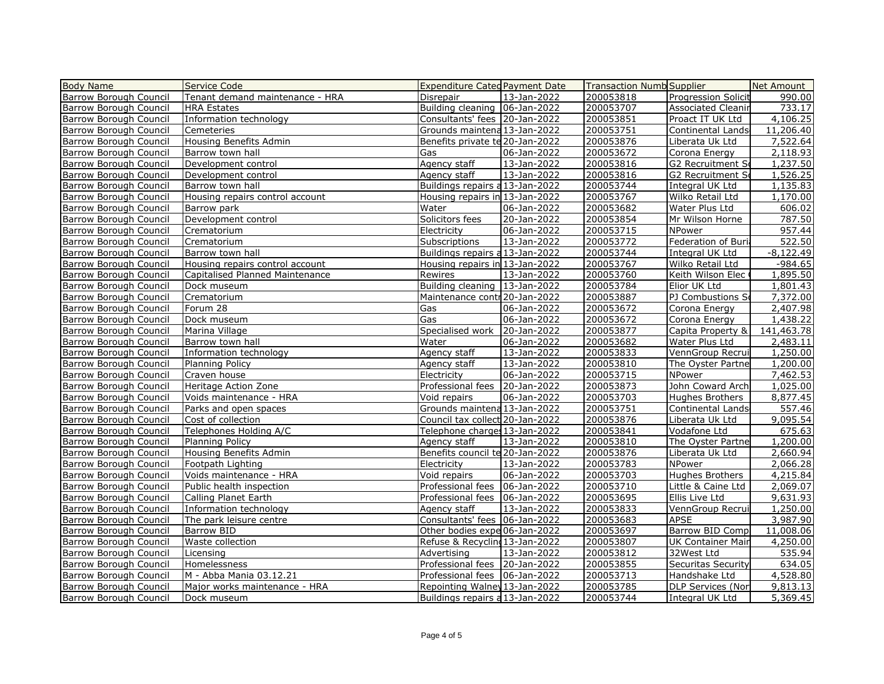| <b>Body Name</b>                                 | Service Code                                | <b>Expenditure Cated Payment Date</b>                            |                   | <b>Transaction Numb Supplier</b> |                                 | Net Amount         |
|--------------------------------------------------|---------------------------------------------|------------------------------------------------------------------|-------------------|----------------------------------|---------------------------------|--------------------|
| <b>Barrow Borough Council</b>                    | Tenant demand maintenance - HRA             | Disrepair                                                        | 13-Jan-2022       | 200053818                        | Progression Solicit             | 990.00             |
| <b>Barrow Borough Council</b>                    | <b>HRA Estates</b>                          | Building cleaning   06-Jan-2022                                  |                   | 200053707                        | <b>Associated Cleanir</b>       | 733.17             |
| Barrow Borough Council                           | Information technology                      | Consultants' fees   20-Jan-2022                                  |                   | 200053851                        | Proact IT UK Ltd                | 4,106.25           |
| <b>Barrow Borough Council</b>                    | Cemeteries                                  | Grounds maintena 13-Jan-2022                                     |                   | 200053751                        | Continental Lands               | 11,206.40          |
| <b>Barrow Borough Council</b>                    | Housing Benefits Admin                      | Benefits private te 20-Jan-2022                                  |                   | 200053876                        | Liberata Uk Ltd                 | 7,522.64           |
| <b>Barrow Borough Council</b>                    | Barrow town hall                            | Gas                                                              | 06-Jan-2022       | 200053672                        | Corona Energy                   | 2,118.93           |
| <b>Barrow Borough Council</b>                    | Development control                         | Agency staff                                                     | 13-Jan-2022       | 200053816                        | G2 Recruitment S                | 1,237.50           |
| Barrow Borough Council                           | Development control                         | Agency staff                                                     | 13-Jan-2022       | 200053816                        | G2 Recruitment So               | 1,526.25           |
| <b>Barrow Borough Council</b>                    | Barrow town hall                            | Buildings repairs a 13-Jan-2022                                  |                   | 200053744                        | Integral UK Ltd                 | 1,135.83           |
| Barrow Borough Council                           | Housing repairs control account             | Housing repairs in 13-Jan-2022                                   |                   | 200053767                        | Wilko Retail Ltd                | 1,170.00           |
| <b>Barrow Borough Council</b>                    | Barrow park                                 | Water                                                            | $06 - Jan - 2022$ | 200053682                        | Water Plus Ltd                  | 606.02             |
| <b>Barrow Borough Council</b>                    | Development control                         | Solicitors fees                                                  | 20-Jan-2022       | 200053854                        | Mr Wilson Horne                 | 787.50             |
| Barrow Borough Council                           | Crematorium                                 | Electricity                                                      | 06-Jan-2022       | 200053715                        | NPower                          | 957.44             |
| <b>Barrow Borough Council</b>                    | Crematorium                                 | Subscriptions                                                    | 13-Jan-2022       | 200053772                        | Federation of Buri              | 522.50             |
| <b>Barrow Borough Council</b>                    | Barrow town hall                            | Buildings repairs a 13-Jan-2022                                  |                   | 200053744                        | Integral UK Ltd                 | $-8,122.49$        |
| <b>Barrow Borough Council</b>                    | Housing repairs control account             | Housing repairs in 13-Jan-2022                                   |                   | 200053767                        | Wilko Retail Ltd                | $-984.65$          |
| <b>Barrow Borough Council</b>                    | Capitalised Planned Maintenance             | Rewires                                                          | 13-Jan-2022       | 200053760                        | Keith Wilson Elec               | 1,895.50           |
| <b>Barrow Borough Council</b>                    | Dock museum                                 | Building cleaning   13-Jan-2022                                  |                   | 200053784                        | Elior UK Ltd                    | 1,801.43           |
| Barrow Borough Council                           | Crematorium                                 | Maintenance contr 20-Jan-2022                                    |                   | 200053887                        | PJ Combustions So               | 7,372.00           |
| <b>Barrow Borough Council</b>                    | Forum 28                                    | Gas                                                              | 06-Jan-2022       | 200053672                        | Corona Energy                   | 2,407.98           |
| <b>Barrow Borough Council</b>                    | Dock museum                                 | Gas                                                              | 06-Jan-2022       | 200053672                        | Corona Energy                   | 1,438.22           |
| Barrow Borough Council                           | Marina Village                              | Specialised work                                                 | 20-Jan-2022       | 200053877                        | Capita Property &               | 141,463.78         |
| <b>Barrow Borough Council</b>                    | Barrow town hall                            | Water                                                            | 06-Jan-2022       | 200053682                        | Water Plus Ltd                  | 2,483.11           |
| <b>Barrow Borough Council</b>                    | Information technology                      | Agency staff                                                     | 13-Jan-2022       | 200053833                        | VennGroup Recrui                | 1,250.00           |
| Barrow Borough Council                           | <b>Planning Policy</b>                      | Agency staff                                                     | 13-Jan-2022       | 200053810                        | The Oyster Partne               | 1,200.00           |
| Barrow Borough Council                           | Craven house                                | Electricity                                                      | 06-Jan-2022       | 200053715                        | NPower                          | 7,462.53           |
| Barrow Borough Council                           | Heritage Action Zone                        | Professional fees 20-Jan-2022                                    |                   | 200053873                        | John Coward Arch                | 1,025.00           |
| <b>Barrow Borough Council</b>                    | Voids maintenance - HRA                     | Void repairs                                                     | 06-Jan-2022       | 200053703                        | Hughes Brothers                 | 8,877.45           |
| <b>Barrow Borough Council</b>                    |                                             | Grounds maintena 13-Jan-2022                                     |                   | 200053751                        | <b>Continental Lands</b>        | 557.46             |
|                                                  | Parks and open spaces<br>Cost of collection |                                                                  |                   |                                  |                                 |                    |
| Barrow Borough Council<br>Barrow Borough Council |                                             | Council tax collect 20-Jan-2022<br>Telephone charges 13-Jan-2022 |                   | 200053876<br>200053841           | Liberata Uk Ltd<br>Vodafone Ltd | 9,095.54<br>675.63 |
| <b>Barrow Borough Council</b>                    | Telephones Holding A/C                      |                                                                  |                   | 200053810                        |                                 | 1,200.00           |
|                                                  | Planning Policy                             | Agency staff                                                     | 13-Jan-2022       |                                  | The Oyster Partne               |                    |
| <b>Barrow Borough Council</b>                    | Housing Benefits Admin                      | Benefits council te 20-Jan-2022                                  |                   | 200053876                        | Liberata Uk Ltd                 | 2,660.94           |
| <b>Barrow Borough Council</b>                    | Footpath Lighting                           | Electricity                                                      | 13-Jan-2022       | 200053783                        | NPower                          | 2,066.28           |
| <b>Barrow Borough Council</b>                    | Voids maintenance - HRA                     | Void repairs                                                     | 06-Jan-2022       | 200053703                        | Hughes Brothers                 | 4,215.84           |
| <b>Barrow Borough Council</b>                    | Public health inspection                    | Professional fees   06-Jan-2022                                  |                   | 200053710                        | Little & Caine Ltd              | 2,069.07           |
| <b>Barrow Borough Council</b>                    | Calling Planet Earth                        | Professional fees   06-Jan-2022                                  |                   | 200053695                        | Ellis Live Ltd                  | 9,631.93           |
| <b>Barrow Borough Council</b>                    | Information technology                      | Agency staff                                                     | 13-Jan-2022       | 200053833                        | VennGroup Recrui                | 1,250.00           |
| Barrow Borough Council                           | The park leisure centre                     | Consultants' fees   06-Jan-2022                                  |                   | 200053683                        | APSE                            | 3,987.90           |
| Barrow Borough Council                           | Barrow BID                                  | Other bodies expe 06-Jan-2022                                    |                   | 200053697                        | Barrow BID Comp                 | 11,008.06          |
| <b>Barrow Borough Council</b>                    | Waste collection                            | Refuse & Recycling 13-Jan-2022                                   |                   | 200053807                        | UK Container Mair               | 4,250.00           |
| <b>Barrow Borough Council</b>                    | <b>Licensing</b>                            | Advertising                                                      | 13-Jan-2022       | 200053812                        | 32West Ltd                      | 535.94             |
| <b>Barrow Borough Council</b>                    | Homelessness                                | Professional fees   20-Jan-2022                                  |                   | 200053855                        | <b>Securitas Security</b>       | 634.05             |
| <b>Barrow Borough Council</b>                    | M - Abba Mania 03.12.21                     | Professional fees   06-Jan-2022                                  |                   | 200053713                        | Handshake Ltd                   | 4,528.80           |
| <b>Barrow Borough Council</b>                    | Major works maintenance - HRA               | Repointing Walney 13-Jan-2022                                    |                   | 200053785                        | DLP Services (Nor               | 9,813.13           |
| <b>Barrow Borough Council</b>                    | Dock museum                                 | Buildings repairs a 13-Jan-2022                                  |                   | 200053744                        | Integral UK Ltd                 | 5,369.45           |